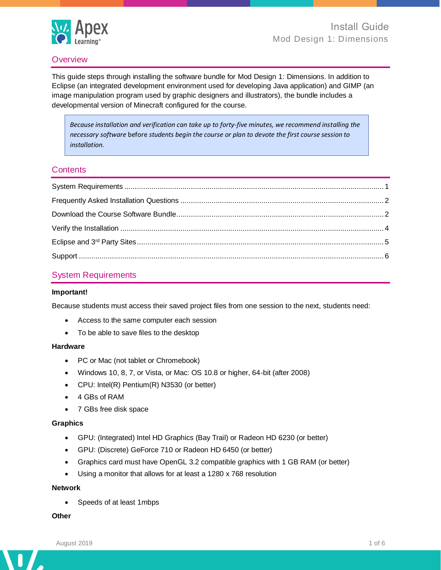

#### **Overview**

This guide steps through installing the software bundle for Mod Design 1: Dimensions. In addition to Eclipse (an integrated development environment used for developing Java application) and GIMP (an image manipulation program used by graphic designers and illustrators), the bundle includes a developmental version of Minecraft configured for the course.

*Because installation and verification can take up to forty-five minutes, we recommend installing the necessary software* before *students begin the course or plan to devote the first course session to installation.*

#### **Contents**

# <span id="page-0-0"></span>System Requirements

#### **Important!**

Because students must access their saved project files from one session to the next, students need:

- Access to the same computer each session
- To be able to save files to the desktop

#### **Hardware**

- PC or Mac (not tablet or Chromebook)
- Windows 10, 8, 7, or Vista, or Mac: OS 10.8 or higher, 64-bit (after 2008)
- CPU: Intel(R) Pentium(R) N3530 (or better)
- 4 GBs of RAM
- 7 GBs free disk space

#### **Graphics**

- GPU: (Integrated) Intel HD Graphics (Bay Trail) or Radeon HD 6230 (or better)
- GPU: (Discrete) GeForce 710 or Radeon HD 6450 (or better)
- Graphics card must have OpenGL 3.2 compatible graphics with 1 GB RAM (or better)
- Using a monitor that allows for at least a 1280 x 768 resolution

#### **Network**

• Speeds of at least 1mbps

#### **Other**

n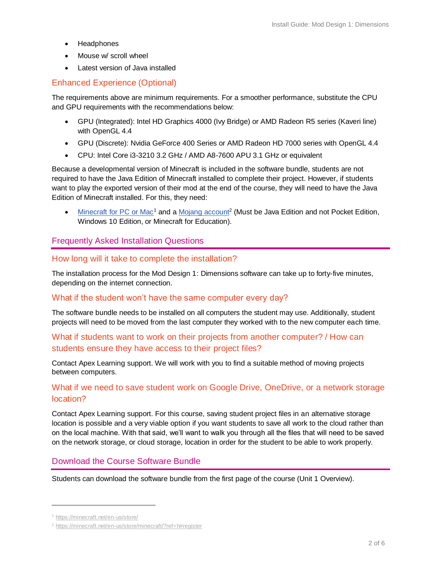- **Headphones**
- Mouse w/ scroll wheel
- Latest version of Java installed

#### Enhanced Experience (Optional)

The requirements above are minimum requirements. For a smoother performance, substitute the CPU and GPU requirements with the recommendations below:

- GPU (Integrated): Intel HD Graphics 4000 (Ivy Bridge) or AMD Radeon R5 series (Kaveri line) with OpenGL 4.4
- GPU (Discrete): Nvidia GeForce 400 Series or AMD Radeon HD 7000 series with OpenGL 4.4
- CPU: Intel Core i3-3210 3.2 GHz / AMD A8-7600 APU 3.1 GHz or equivalent

Because a developmental version of Minecraft is included in the software bundle, students are not required to have the Java Edition of Minecraft installed to complete their project. However, if students want to play the exported version of their mod at the end of the course, they will need to have the Java Edition of Minecraft installed. For this, they need:

• [Minecraft for PC or Mac](https://minecraft.net/en-us/store/)<sup>1</sup> and a [Mojang account](https://minecraft.net/en-us/store/minecraft/?ref=h#register)<sup>2</sup> (Must be Java Edition and not Pocket Edition, Windows 10 Edition, or Minecraft for Education).

#### <span id="page-1-0"></span>Frequently Asked Installation Questions

#### How long will it take to complete the installation?

The installation process for the Mod Design 1: Dimensions software can take up to forty-five minutes, depending on the internet connection.

#### What if the student won't have the same computer every day?

The software bundle needs to be installed on all computers the student may use. Additionally, student projects will need to be moved from the last computer they worked with to the new computer each time.

# What if students want to work on their projects from another computer? / How can students ensure they have access to their project files?

<span id="page-1-1"></span>Contact Apex Learning support. We will work with you to find a suitable method of moving projects between computers.

# What if we need to save student work on Google Drive, OneDrive, or a network storage location?

Contact Apex Learning support. For this course, saving student project files in an alternative storage location is possible and a very viable option if you want students to save all work to the cloud rather than on the local machine. With that said, we'll want to walk you through all the files that will need to be saved on the network storage, or cloud storage, location in order for the student to be able to work properly.

# Download the Course Software Bundle

Students can download the software bundle from the first page of the course (Unit 1 Overview).

<sup>1</sup> <https://minecraft.net/en-us/store/>

<sup>2</sup> <https://minecraft.net/en-us/store/minecraft/?ref=h#register>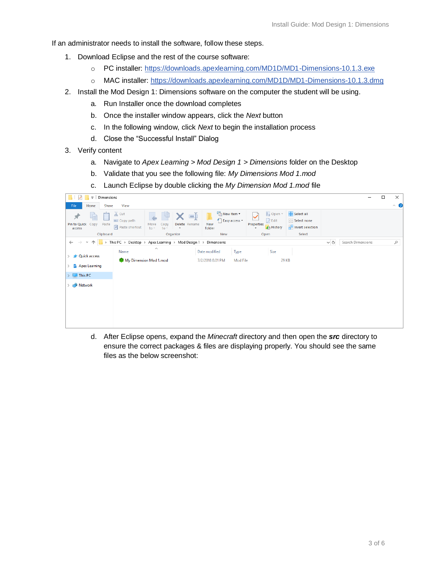If an administrator needs to install the software, follow these steps.

- 1. Download Eclipse and the rest of the course software:
	- o PC installer: <https://downloads.apexlearning.com/MD1D/MD1-Dimensions-10.1.3.exe>
	- o MAC installer:<https://downloads.apexlearning.com/MD1D/MD1-Dimensions-10.1.3.dmg>
- 2. Install the Mod Design 1: Dimensions software on the computer the student will be using.
	- a. Run Installer once the download completes
	- b. Once the installer window appears, click the *Next* button
	- c. In the following window, click *Next* to begin the installation process
	- d. Close the "Successful Install" Dialog
- 3. Verify content
	- a. Navigate to *Apex Learning > Mod Design 1 > Dimensions* folder on the Desktop
	- b. Validate that you see the following file: *My Dimensions Mod 1.mod*
	- c. Launch Eclipse by double clicking the *My Dimension Mod 1.mod* file

| $\overline{\mathbf{v}}$ Dimensions                          |                                                                                                                                                                                                                                                                                                                                 |          |                   | $\Box$ | $\times$            |
|-------------------------------------------------------------|---------------------------------------------------------------------------------------------------------------------------------------------------------------------------------------------------------------------------------------------------------------------------------------------------------------------------------|----------|-------------------|--------|---------------------|
| File<br>Share<br>Home                                       | View                                                                                                                                                                                                                                                                                                                            |          |                   |        | $\hat{\phantom{a}}$ |
| ومنتصح<br>ŧ<br>×<br>Pin to Quick<br>Copy<br>Paste<br>access | $\chi$ Cut<br>└ New item ▼<br>Dopen *<br>Select all<br>=Ť<br>F Easy access *<br>$\triangleright$ Edit<br><b>Select none</b><br><b>W</b> Copy path<br>New<br>Properties<br>Delete Rename<br>Move<br>Copy<br>Paste shortcut<br><b>Relation</b><br><b>B</b> History<br>$to -$<br>folder<br>$to -$<br>٠<br>$\overline{\phantom{a}}$ |          |                   |        |                     |
| Clipboard                                                   | New<br>Select<br>Organize<br>Open                                                                                                                                                                                                                                                                                               |          |                   |        |                     |
| $\leftarrow$<br>$\rightarrow$<br>$\checkmark$               | This PC > Desktop > Apex Learning > Mod Design 1 > Dimensions                                                                                                                                                                                                                                                                   | $\sim$ 0 | Search Dimensions |        | مر                  |
| <b>Quick access</b><br>Apex Learning                        | $\widehat{\phantom{a}}$<br>Size<br>Type<br>Name<br>Date modified<br>My Dimension Mod 1.mod<br>29 KB<br>7/2/2018 8:01 PM<br>Mod File                                                                                                                                                                                             |          |                   |        |                     |
|                                                             |                                                                                                                                                                                                                                                                                                                                 |          |                   |        |                     |
| $\blacksquare$ This PC                                      |                                                                                                                                                                                                                                                                                                                                 |          |                   |        |                     |
| Network                                                     |                                                                                                                                                                                                                                                                                                                                 |          |                   |        |                     |
|                                                             |                                                                                                                                                                                                                                                                                                                                 |          |                   |        |                     |

d. After Eclipse opens, expand the *Minecraft* directory and then open the *src* directory to ensure the correct packages & files are displaying properly. You should see the same files as the below screenshot: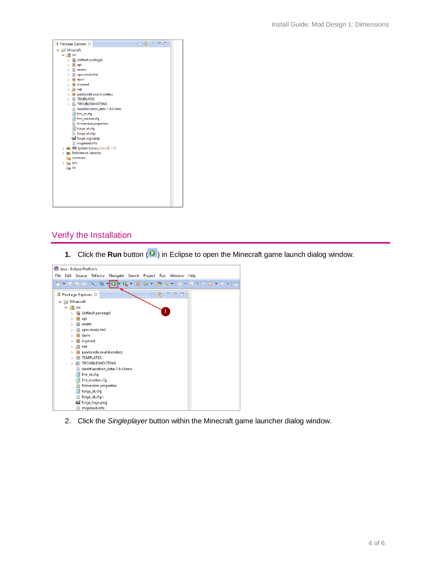

# <span id="page-3-0"></span>Verify the Installation

**1.** Click the **Run** button ( $\bullet$ ) in Eclipse to open the Minecraft game launch dialog window.



2. Click the *Singleplayer* button within the Minecraft game launcher dialog window.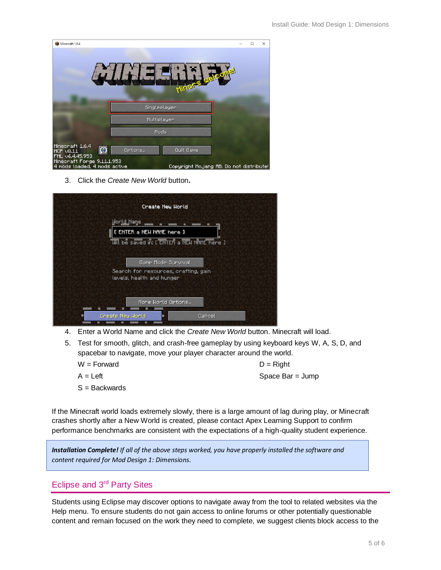| Minecraft 1.6.4                                            |              |                                          | $\Box$ | $\times$ |
|------------------------------------------------------------|--------------|------------------------------------------|--------|----------|
|                                                            |              |                                          |        |          |
|                                                            |              | MITTER                                   |        |          |
|                                                            | Singleplayer |                                          |        |          |
|                                                            | Multiplayer  |                                          |        |          |
|                                                            | Mods         |                                          |        |          |
| Minecraft 1.6.4<br>Ø<br>MCP $\vee$ 8.11<br>FML v6.4.45.953 | Options      | Quit Game                                |        |          |
| Minecraft Forge 9.11.1.953<br>4 mods loaded, 4 mods active |              | Copyright Moliang AB, Do not distribute! |        |          |

3. Click the *Create New World* button**.**

| Create New World                                                                             |
|----------------------------------------------------------------------------------------------|
| <b>World Name</b><br>I ENTER a NEW NAME here I<br>MIL be saved in: [ ENTER a NEW NAME here ] |
| Game Mode Sunvival<br>Search for resources, crafting, gain<br>levels, health and hunger      |
| Mone World Options<br>Create New World<br>Cancel                                             |

- 4. Enter a World Name and click the *Create New World* button. Minecraft will load.
- 5. Test for smooth, glitch, and crash-free gameplay by using keyboard keys W, A, S, D, and spacebar to navigate, move your player character around the world.

|  |  | W = Forward |
|--|--|-------------|
|--|--|-------------|

S = Backwards

 $D = Right$  $A = Left$  Space Bar = Jump

If the Minecraft world loads extremely slowly, there is a large amount of lag during play, or Minecraft crashes shortly after a New World is created, please contact Apex Learning Support to confirm performance benchmarks are consistent with the expectations of a high-quality student experience.

*Installation Complete! If all of the above steps worked, you have properly installed the software and content required for Mod Design 1: Dimensions.*

# <span id="page-4-0"></span>Eclipse and 3rd Party Sites

Students using Eclipse may discover options to navigate away from the tool to related websites via the Help menu. To ensure students do not gain access to online forums or other potentially questionable content and remain focused on the work they need to complete, we suggest clients block access to the